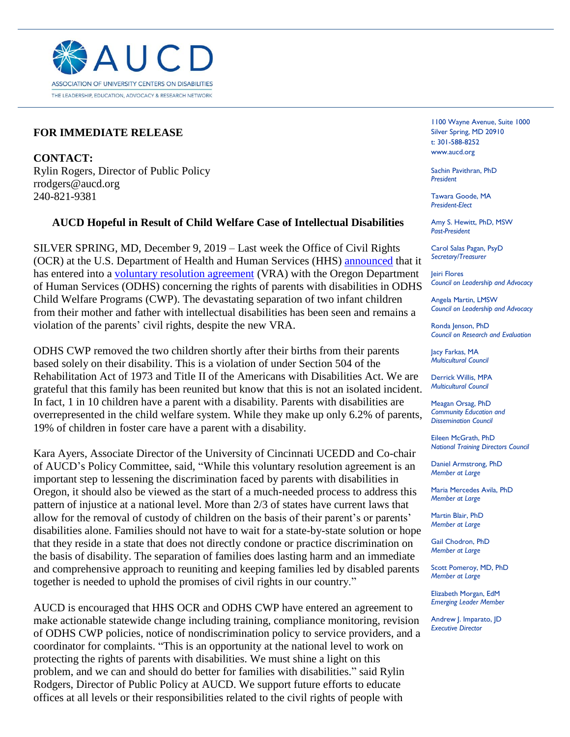

## **FOR IMMEDIATE RELEASE**

**CONTACT:** Rylin Rogers, Director of Public Policy rrodgers@aucd.org 240-821-9381

## **AUCD Hopeful in Result of Child Welfare Case of Intellectual Disabilities**

j

SILVER SPRING, MD, December 9, 2019 – Last week the Office of Civil Rights (OCR) at the U.S. Department of Health and Human Services (HHS) [announced](https://www.hhs.gov/about/news/2019/12/04/hhs-ocr-secures-voluntary-resolution-and-ensures-child-welfare-programs-in-the-odhs-protect-parents-with-disabilities-from-discrimination.html) that it has entered into a voluntary [resolution agreement](https://www.hhs.gov/sites/default/files/odhs-vra.pdf) (VRA) with the Oregon Department of Human Services (ODHS) concerning the rights of parents with disabilities in ODHS Child Welfare Programs (CWP). The devastating separation of two infant children from their mother and father with intellectual disabilities has been seen and remains a violation of the parents' civil rights, despite the new VRA.

ODHS CWP removed the two children shortly after their births from their parents based solely on their disability. This is a violation of under Section 504 of the Rehabilitation Act of 1973 and Title II of the Americans with Disabilities Act. We are grateful that this family has been reunited but know that this is not an isolated incident. In fact, 1 in 10 children have a parent with a disability. Parents with disabilities are overrepresented in the child welfare system. While they make up only 6.2% of parents, 19% of children in foster care have a parent with a disability.

Kara Ayers, Associate Director of the University of Cincinnati UCEDD and Co-chair of AUCD's Policy Committee, said, "While this voluntary resolution agreement is an important step to lessening the discrimination faced by parents with disabilities in Oregon, it should also be viewed as the start of a much-needed process to address this pattern of injustice at a national level. More than 2/3 of states have current laws that allow for the removal of custody of children on the basis of their parent's or parents' disabilities alone. Families should not have to wait for a state-by-state solution or hope that they reside in a state that does not directly condone or practice discrimination on the basis of disability. The separation of families does lasting harm and an immediate and comprehensive approach to reuniting and keeping families led by disabled parents together is needed to uphold the promises of civil rights in our country."

AUCD is encouraged that HHS OCR and ODHS CWP have entered an agreement to make actionable statewide change including training, compliance monitoring, revision of ODHS CWP policies, notice of nondiscrimination policy to service providers, and a coordinator for complaints. "This is an opportunity at the national level to work on protecting the rights of parents with disabilities. We must shine a light on this problem, and we can and should do better for families with disabilities." said Rylin Rodgers, Director of Public Policy at AUCD. We support future efforts to educate offices at all levels or their responsibilities related to the civil rights of people with

1100 Wayne Avenue, Suite 1000 Silver Spring, MD 20910 t: 301-588-8252 www.aucd.org

Sachin Pavithran, PhD *President*

Tawara Goode, MA *President-Elect*

Amy S. Hewitt, PhD, MSW *Past-President*

Carol Salas Pagan, PsyD *Secretary/Treasurer*

Jeiri Flores *Council on Leadership and Advocacy*

Angela Martin, LMSW *Council on Leadership and Advocacy*

Ronda Jenson, PhD *Council on Research and Evaluation*

Jacy Farkas, MA *Multicultural Council* 

Derrick Willis, MPA *Multicultural Council*

Meagan Orsag, PhD *Community Education and Dissemination Council*

Eileen McGrath, PhD *National Training Directors Council*

Daniel Armstrong, PhD *Member at Large*

Maria Mercedes Avila, PhD *Member at Large*

Martin Blair, PhD *Member at Large*

Gail Chodron, PhD *Member at Large*

Scott Pomeroy, MD, PhD *Member at Large*

Elizabeth Morgan, EdM *Emerging Leader Member*

Andrew J. Imparato, JD *Executive Director*